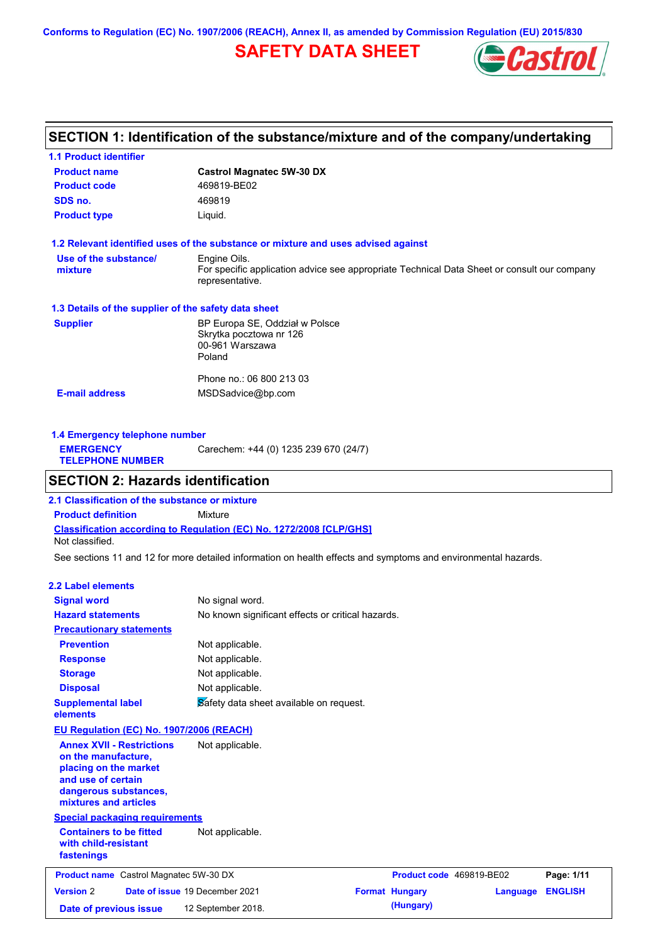**Conforms to Regulation (EC) No. 1907/2006 (REACH), Annex II, as amended by Commission Regulation (EU) 2015/830**

# **SAFETY DATA SHEET**



# **SECTION 1: Identification of the substance/mixture and of the company/undertaking**

| <b>1.1 Product identifier</b>                        |                                                                                                                |
|------------------------------------------------------|----------------------------------------------------------------------------------------------------------------|
| <b>Product name</b>                                  | <b>Castrol Magnatec 5W-30 DX</b>                                                                               |
| <b>Product code</b>                                  | 469819-BE02                                                                                                    |
| SDS no.                                              | 469819                                                                                                         |
| <b>Product type</b>                                  | Liquid.                                                                                                        |
|                                                      | 1.2 Relevant identified uses of the substance or mixture and uses advised against                              |
| Use of the substance/                                | Engine Oils.                                                                                                   |
| mixture                                              | For specific application advice see appropriate Technical Data Sheet or consult our company<br>representative. |
| 1.3 Details of the supplier of the safety data sheet |                                                                                                                |
| <b>Supplier</b>                                      | BP Europa SE, Oddział w Polsce                                                                                 |
|                                                      | Skrytka pocztowa nr 126                                                                                        |
|                                                      | 00-961 Warszawa                                                                                                |
|                                                      | Poland                                                                                                         |
|                                                      | Phone no.: 06 800 213 03                                                                                       |
| <b>E-mail address</b>                                | MSDSadvice@bp.com                                                                                              |
|                                                      |                                                                                                                |
|                                                      |                                                                                                                |

**1.4 Emergency telephone number EMERGENCY TELEPHONE NUMBER** Carechem: +44 (0) 1235 239 670 (24/7)

### **SECTION 2: Hazards identification**

**Classification according to Regulation (EC) No. 1272/2008 [CLP/GHS] 2.1 Classification of the substance or mixture Product definition** Mixture Not classified.

See sections 11 and 12 for more detailed information on health effects and symptoms and environmental hazards.

### **2.2 Label elements**

| <b>Signal word</b>                                                                                                                                       | No signal word.                                   |                          |          |                |
|----------------------------------------------------------------------------------------------------------------------------------------------------------|---------------------------------------------------|--------------------------|----------|----------------|
| <b>Hazard statements</b>                                                                                                                                 | No known significant effects or critical hazards. |                          |          |                |
| <b>Precautionary statements</b>                                                                                                                          |                                                   |                          |          |                |
| <b>Prevention</b>                                                                                                                                        | Not applicable.                                   |                          |          |                |
| <b>Response</b>                                                                                                                                          | Not applicable.                                   |                          |          |                |
| <b>Storage</b>                                                                                                                                           | Not applicable.                                   |                          |          |                |
| <b>Disposal</b>                                                                                                                                          | Not applicable.                                   |                          |          |                |
| <b>Supplemental label</b><br>elements                                                                                                                    | Safety data sheet available on request.           |                          |          |                |
| EU Regulation (EC) No. 1907/2006 (REACH)                                                                                                                 |                                                   |                          |          |                |
| <b>Annex XVII - Restrictions</b><br>on the manufacture,<br>placing on the market<br>and use of certain<br>dangerous substances,<br>mixtures and articles | Not applicable.                                   |                          |          |                |
| <b>Special packaging requirements</b>                                                                                                                    |                                                   |                          |          |                |
| <b>Containers to be fitted</b><br>with child-resistant<br>fastenings                                                                                     | Not applicable.                                   |                          |          |                |
| <b>Product name</b> Castrol Magnatec 5W-30 DX                                                                                                            |                                                   | Product code 469819-BE02 |          | Page: 1/11     |
|                                                                                                                                                          | Date of issue 19 December 2021                    | <b>Format Hungary</b>    | Language | <b>ENGLISH</b> |
| <b>Version 2</b>                                                                                                                                         |                                                   |                          |          |                |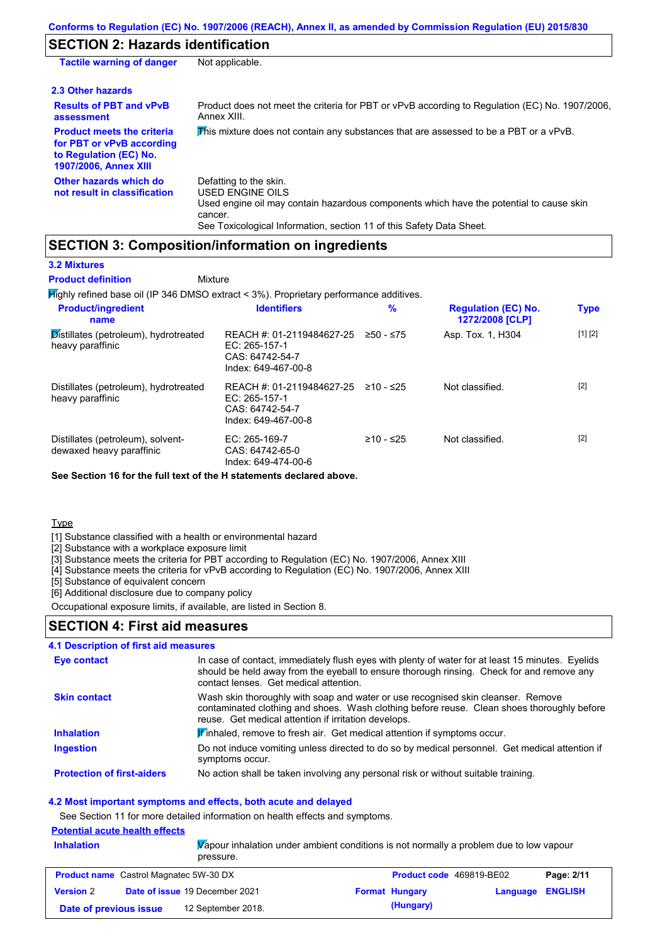# **SECTION 2: Hazards identification**

| <b>Tactile warning of danger</b>                                                                                         | Not applicable.                                                                                                                                                                                                          |
|--------------------------------------------------------------------------------------------------------------------------|--------------------------------------------------------------------------------------------------------------------------------------------------------------------------------------------------------------------------|
| 2.3 Other hazards                                                                                                        |                                                                                                                                                                                                                          |
| <b>Results of PBT and vPvB</b><br>assessment                                                                             | Product does not meet the criteria for PBT or vPvB according to Regulation (EC) No. 1907/2006,<br>Annex XIII.                                                                                                            |
| <b>Product meets the criteria</b><br>for PBT or vPvB according<br>to Regulation (EC) No.<br><b>1907/2006, Annex XIII</b> | This mixture does not contain any substances that are assessed to be a PBT or a vPvB.                                                                                                                                    |
| Other hazards which do<br>not result in classification                                                                   | Defatting to the skin.<br>USED ENGINE OILS<br>Used engine oil may contain hazardous components which have the potential to cause skin<br>cancer.<br>See Toxicological Information, section 11 of this Safety Data Sheet. |

# **SECTION 3: Composition/information on ingredients**

|  | <b>3.2 Mixtures</b> |  |
|--|---------------------|--|
|--|---------------------|--|

Highly refined base oil (IP 346 DMSO extract < 3%). Proprietary performance additives. **Mixture Product definition**

| <b>Product/ingredient</b><br>name                                      | <b>Identifiers</b>                                                                     | %           | <b>Regulation (EC) No.</b><br>1272/2008 [CLP] | <b>Type</b> |
|------------------------------------------------------------------------|----------------------------------------------------------------------------------------|-------------|-----------------------------------------------|-------------|
| $\mathcal{D}$ istillates (petroleum), hydrotreated<br>heavy paraffinic | REACH #: 01-2119484627-25<br>EC: $265-157-1$<br>CAS: 64742-54-7<br>Index: 649-467-00-8 | ≥50 - ≤75   | Asp. Tox. 1, H304                             | [1] [2]     |
| Distillates (petroleum), hydrotreated<br>heavy paraffinic              | REACH #: 01-2119484627-25<br>EC: 265-157-1<br>CAS: 64742-54-7<br>Index: 649-467-00-8   | $≥10 - ≤25$ | Not classified.                               | $[2]$       |
| Distillates (petroleum), solvent-<br>dewaxed heavy paraffinic          | EC: $265-169-7$<br>CAS: 64742-65-0<br>Index: 649-474-00-6                              | $≥10 - ≤25$ | Not classified.                               | $[2]$       |

**See Section 16 for the full text of the H statements declared above.**

### Type

[1] Substance classified with a health or environmental hazard

[2] Substance with a workplace exposure limit

[3] Substance meets the criteria for PBT according to Regulation (EC) No. 1907/2006, Annex XIII

[4] Substance meets the criteria for vPvB according to Regulation (EC) No. 1907/2006, Annex XIII

[5] Substance of equivalent concern

[6] Additional disclosure due to company policy

Occupational exposure limits, if available, are listed in Section 8.

### **SECTION 4: First aid measures**

### **4.1 Description of first aid measures**

| Eye contact                       | In case of contact, immediately flush eyes with plenty of water for at least 15 minutes. Eyelids<br>should be held away from the eyeball to ensure thorough rinsing. Check for and remove any<br>contact lenses. Get medical attention. |
|-----------------------------------|-----------------------------------------------------------------------------------------------------------------------------------------------------------------------------------------------------------------------------------------|
| <b>Skin contact</b>               | Wash skin thoroughly with soap and water or use recognised skin cleanser. Remove<br>contaminated clothing and shoes. Wash clothing before reuse. Clean shoes thoroughly before<br>reuse. Get medical attention if irritation develops.  |
| <b>Inhalation</b>                 | Finhaled, remove to fresh air. Get medical attention if symptoms occur.                                                                                                                                                                 |
| Ingestion                         | Do not induce vomiting unless directed to do so by medical personnel. Get medical attention if<br>symptoms occur.                                                                                                                       |
| <b>Protection of first-aiders</b> | No action shall be taken involving any personal risk or without suitable training.                                                                                                                                                      |

### **4.2 Most important symptoms and effects, both acute and delayed**

See Section 11 for more detailed information on health effects and symptoms.

### **Potential acute health effects**

| <b>Inhalation</b> | $\overline{V}$ apour inhalation under ambient conditions is not normally a problem due to low vapour |
|-------------------|------------------------------------------------------------------------------------------------------|
|                   | pressure.                                                                                            |

| <b>Product name</b> Castrol Magnatec 5W-30 DX |  | <b>Product code</b> 469819-BE02       |  | Page: 2/11            |                  |  |
|-----------------------------------------------|--|---------------------------------------|--|-----------------------|------------------|--|
| <b>Version 2</b>                              |  | <b>Date of issue 19 December 2021</b> |  | <b>Format Hungary</b> | Language ENGLISH |  |
| Date of previous issue                        |  | 12 September 2018.                    |  | (Hungary)             |                  |  |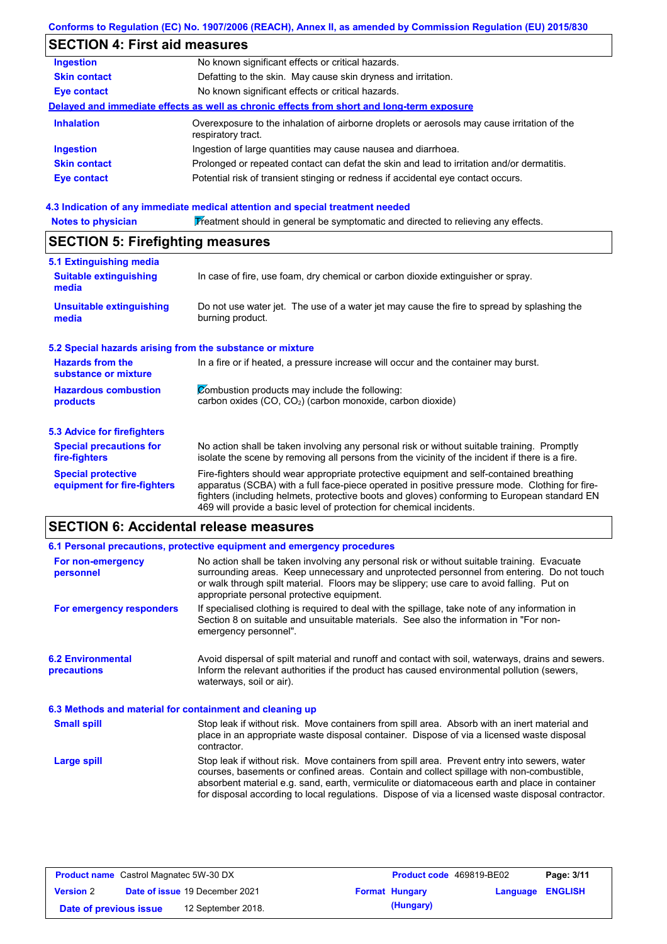### **Conforms to Regulation (EC) No. 1907/2006 (REACH), Annex II, as amended by Commission Regulation (EU) 2015/830**

# **SECTION 4: First aid measures**

| <b>Ingestion</b>    | No known significant effects or critical hazards.                                                                 |
|---------------------|-------------------------------------------------------------------------------------------------------------------|
| <b>Skin contact</b> | Defatting to the skin. May cause skin dryness and irritation.                                                     |
| <b>Eye contact</b>  | No known significant effects or critical hazards.                                                                 |
|                     | Delayed and immediate effects as well as chronic effects from short and long-term exposure                        |
| <b>Inhalation</b>   | Overexposure to the inhalation of airborne droplets or aerosols may cause irritation of the<br>respiratory tract. |
| <b>Ingestion</b>    | Ingestion of large quantities may cause nausea and diarrhoea.                                                     |
| <b>Skin contact</b> | Prolonged or repeated contact can defat the skin and lead to irritation and/or dermatitis.                        |
| <b>Eye contact</b>  | Potential risk of transient stinging or redness if accidental eye contact occurs.                                 |
|                     |                                                                                                                   |

### **4.3 Indication of any immediate medical attention and special treatment needed**

| <b>Notes to physician</b>                                 | Treatment should in general be symptomatic and directed to relieving any effects.                                                                                                                                                                                                                                                                                 |  |  |  |
|-----------------------------------------------------------|-------------------------------------------------------------------------------------------------------------------------------------------------------------------------------------------------------------------------------------------------------------------------------------------------------------------------------------------------------------------|--|--|--|
|                                                           | <b>SECTION 5: Firefighting measures</b>                                                                                                                                                                                                                                                                                                                           |  |  |  |
| 5.1 Extinguishing media                                   |                                                                                                                                                                                                                                                                                                                                                                   |  |  |  |
| <b>Suitable extinguishing</b><br>media                    | In case of fire, use foam, dry chemical or carbon dioxide extinguisher or spray.                                                                                                                                                                                                                                                                                  |  |  |  |
| <b>Unsuitable extinguishing</b><br>media                  | Do not use water jet. The use of a water jet may cause the fire to spread by splashing the<br>burning product.                                                                                                                                                                                                                                                    |  |  |  |
| 5.2 Special hazards arising from the substance or mixture |                                                                                                                                                                                                                                                                                                                                                                   |  |  |  |
| <b>Hazards from the</b><br>substance or mixture           | In a fire or if heated, a pressure increase will occur and the container may burst.                                                                                                                                                                                                                                                                               |  |  |  |
| <b>Hazardous combustion</b><br>products                   | Combustion products may include the following:<br>carbon oxides $(CO, CO2)$ (carbon monoxide, carbon dioxide)                                                                                                                                                                                                                                                     |  |  |  |
| <b>5.3 Advice for firefighters</b>                        |                                                                                                                                                                                                                                                                                                                                                                   |  |  |  |
| <b>Special precautions for</b><br>fire-fighters           | No action shall be taken involving any personal risk or without suitable training. Promptly<br>isolate the scene by removing all persons from the vicinity of the incident if there is a fire.                                                                                                                                                                    |  |  |  |
| <b>Special protective</b><br>equipment for fire-fighters  | Fire-fighters should wear appropriate protective equipment and self-contained breathing<br>apparatus (SCBA) with a full face-piece operated in positive pressure mode. Clothing for fire-<br>fighters (including helmets, protective boots and gloves) conforming to European standard EN<br>469 will provide a basic level of protection for chemical incidents. |  |  |  |

# **SECTION 6: Accidental release measures**

|                                                          | 6.1 Personal precautions, protective equipment and emergency procedures                                                                                                                                                                                                                                                                                                                        |
|----------------------------------------------------------|------------------------------------------------------------------------------------------------------------------------------------------------------------------------------------------------------------------------------------------------------------------------------------------------------------------------------------------------------------------------------------------------|
| For non-emergency<br>personnel                           | No action shall be taken involving any personal risk or without suitable training. Evacuate<br>surrounding areas. Keep unnecessary and unprotected personnel from entering. Do not touch<br>or walk through spilt material. Floors may be slippery; use care to avoid falling. Put on<br>appropriate personal protective equipment.                                                            |
| For emergency responders                                 | If specialised clothing is required to deal with the spillage, take note of any information in<br>Section 8 on suitable and unsuitable materials. See also the information in "For non-<br>emergency personnel".                                                                                                                                                                               |
| <b>6.2 Environmental</b><br><b>precautions</b>           | Avoid dispersal of spilt material and runoff and contact with soil, waterways, drains and sewers.<br>Inform the relevant authorities if the product has caused environmental pollution (sewers,<br>waterways, soil or air).                                                                                                                                                                    |
| 6.3 Methods and material for containment and cleaning up |                                                                                                                                                                                                                                                                                                                                                                                                |
| <b>Small spill</b>                                       | Stop leak if without risk. Move containers from spill area. Absorb with an inert material and<br>place in an appropriate waste disposal container. Dispose of via a licensed waste disposal<br>contractor.                                                                                                                                                                                     |
| Large spill                                              | Stop leak if without risk. Move containers from spill area. Prevent entry into sewers, water<br>courses, basements or confined areas. Contain and collect spillage with non-combustible,<br>absorbent material e.g. sand, earth, vermiculite or diatomaceous earth and place in container<br>for disposal according to local regulations. Dispose of via a licensed waste disposal contractor. |

| <b>Product name</b> Castrol Magnatec 5W-30 DX |  | <b>Product code</b> 469819-BE02       |  | Page: 3/11            |                         |  |
|-----------------------------------------------|--|---------------------------------------|--|-----------------------|-------------------------|--|
| <b>Version 2</b>                              |  | <b>Date of issue 19 December 2021</b> |  | <b>Format Hungary</b> | <b>Language ENGLISH</b> |  |
| Date of previous issue                        |  | 12 September 2018.                    |  | (Hungary)             |                         |  |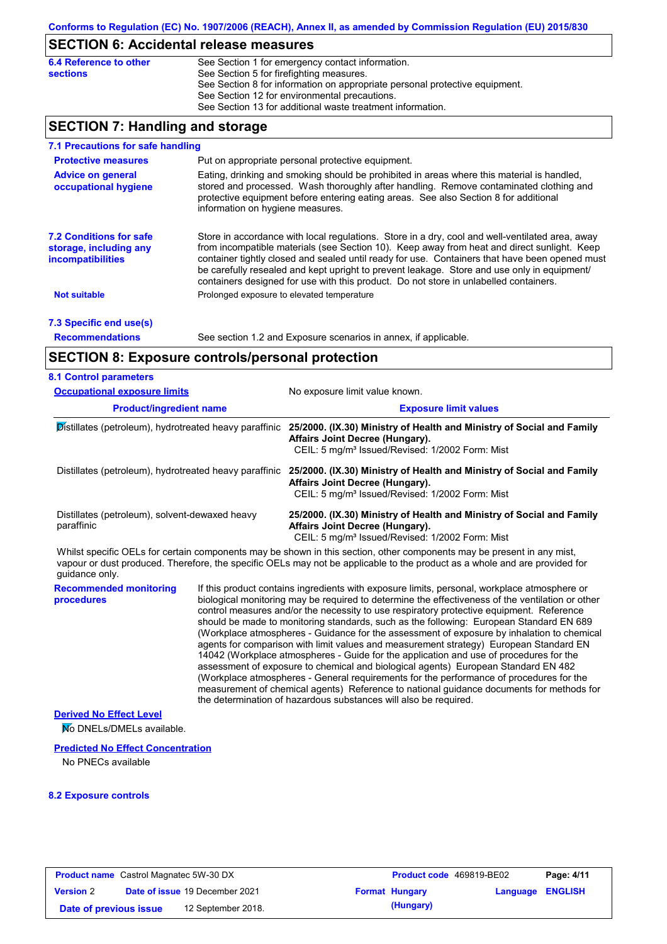# **SECTION 6: Accidental release measures**

| 6.4 Reference to other | See Section 1 for emergency contact information.                            |
|------------------------|-----------------------------------------------------------------------------|
| <b>sections</b>        | See Section 5 for firefighting measures.                                    |
|                        | See Section 8 for information on appropriate personal protective equipment. |
|                        | See Section 12 for environmental precautions.                               |
|                        | See Section 13 for additional waste treatment information.                  |

# **SECTION 7: Handling and storage**

| 7.1 Precautions for safe handling                                                    |                                                                                                                                                                                                                                                                                                                                                                                                                                                                                          |
|--------------------------------------------------------------------------------------|------------------------------------------------------------------------------------------------------------------------------------------------------------------------------------------------------------------------------------------------------------------------------------------------------------------------------------------------------------------------------------------------------------------------------------------------------------------------------------------|
| <b>Protective measures</b>                                                           | Put on appropriate personal protective equipment.                                                                                                                                                                                                                                                                                                                                                                                                                                        |
| <b>Advice on general</b><br>occupational hygiene                                     | Eating, drinking and smoking should be prohibited in areas where this material is handled,<br>stored and processed. Wash thoroughly after handling. Remove contaminated clothing and<br>protective equipment before entering eating areas. See also Section 8 for additional<br>information on hygiene measures.                                                                                                                                                                         |
| <b>7.2 Conditions for safe</b><br>storage, including any<br><i>incompatibilities</i> | Store in accordance with local requiations. Store in a dry, cool and well-ventilated area, away<br>from incompatible materials (see Section 10). Keep away from heat and direct sunlight. Keep<br>container tightly closed and sealed until ready for use. Containers that have been opened must<br>be carefully resealed and kept upright to prevent leakage. Store and use only in equipment/<br>containers designed for use with this product. Do not store in unlabelled containers. |
| <b>Not suitable</b>                                                                  | Prolonged exposure to elevated temperature                                                                                                                                                                                                                                                                                                                                                                                                                                               |
| 7.3 Specific end use(s)                                                              |                                                                                                                                                                                                                                                                                                                                                                                                                                                                                          |
| <b>Recommendations</b>                                                               | See section 1.2 and Exposure scenarios in annex, if applicable.                                                                                                                                                                                                                                                                                                                                                                                                                          |

# **SECTION 8: Exposure controls/personal protection**

| <b>8.1 Control parameters</b>                                |  |                                                                                                                                                                                                                                                                                                                                                                                                                                                                                                                                                                                                                                                                                                                                                                                                                                                                                                                                                                                                                            |  |  |  |
|--------------------------------------------------------------|--|----------------------------------------------------------------------------------------------------------------------------------------------------------------------------------------------------------------------------------------------------------------------------------------------------------------------------------------------------------------------------------------------------------------------------------------------------------------------------------------------------------------------------------------------------------------------------------------------------------------------------------------------------------------------------------------------------------------------------------------------------------------------------------------------------------------------------------------------------------------------------------------------------------------------------------------------------------------------------------------------------------------------------|--|--|--|
| <b>Occupational exposure limits</b>                          |  | No exposure limit value known.                                                                                                                                                                                                                                                                                                                                                                                                                                                                                                                                                                                                                                                                                                                                                                                                                                                                                                                                                                                             |  |  |  |
| <b>Product/ingredient name</b>                               |  | <b>Exposure limit values</b>                                                                                                                                                                                                                                                                                                                                                                                                                                                                                                                                                                                                                                                                                                                                                                                                                                                                                                                                                                                               |  |  |  |
| Distillates (petroleum), hydrotreated heavy paraffinic       |  | 25/2000. (IX.30) Ministry of Health and Ministry of Social and Family<br>Affairs Joint Decree (Hungary).<br>CEIL: 5 mg/m <sup>3</sup> Issued/Revised: 1/2002 Form: Mist                                                                                                                                                                                                                                                                                                                                                                                                                                                                                                                                                                                                                                                                                                                                                                                                                                                    |  |  |  |
| Distillates (petroleum), hydrotreated heavy paraffinic       |  | 25/2000. (IX.30) Ministry of Health and Ministry of Social and Family<br>Affairs Joint Decree (Hungary).<br>CEIL: 5 mg/m <sup>3</sup> Issued/Revised: 1/2002 Form: Mist                                                                                                                                                                                                                                                                                                                                                                                                                                                                                                                                                                                                                                                                                                                                                                                                                                                    |  |  |  |
| Distillates (petroleum), solvent-dewaxed heavy<br>paraffinic |  | 25/2000. (IX.30) Ministry of Health and Ministry of Social and Family<br>Affairs Joint Decree (Hungary).<br>CEIL: 5 mg/m <sup>3</sup> Issued/Revised: 1/2002 Form: Mist                                                                                                                                                                                                                                                                                                                                                                                                                                                                                                                                                                                                                                                                                                                                                                                                                                                    |  |  |  |
| guidance only.                                               |  | Whilst specific OELs for certain components may be shown in this section, other components may be present in any mist,<br>vapour or dust produced. Therefore, the specific OELs may not be applicable to the product as a whole and are provided for                                                                                                                                                                                                                                                                                                                                                                                                                                                                                                                                                                                                                                                                                                                                                                       |  |  |  |
| <b>Recommended monitoring</b><br>procedures                  |  | If this product contains ingredients with exposure limits, personal, workplace atmosphere or<br>biological monitoring may be required to determine the effectiveness of the ventilation or other<br>control measures and/or the necessity to use respiratory protective equipment. Reference<br>should be made to monitoring standards, such as the following: European Standard EN 689<br>(Workplace atmospheres - Guidance for the assessment of exposure by inhalation to chemical<br>agents for comparison with limit values and measurement strategy) European Standard EN<br>14042 (Workplace atmospheres - Guide for the application and use of procedures for the<br>assessment of exposure to chemical and biological agents) European Standard EN 482<br>(Workplace atmospheres - General requirements for the performance of procedures for the<br>measurement of chemical agents) Reference to national guidance documents for methods for<br>the determination of hazardous substances will also be required. |  |  |  |

### **Derived No Effect Level**

**No DNELs/DMELs available.** 

#### **Predicted No Effect Concentration**

No PNECs available

### **8.2 Exposure controls**

| <b>Product name</b> Castrol Magnatec 5W-30 DX |  |                                       | <b>Product code</b> 469819-BE02 |                       | Page: 4/11              |  |
|-----------------------------------------------|--|---------------------------------------|---------------------------------|-----------------------|-------------------------|--|
| <b>Version 2</b>                              |  | <b>Date of issue 19 December 2021</b> |                                 | <b>Format Hungary</b> | <b>Language ENGLISH</b> |  |
| Date of previous issue                        |  | 12 September 2018.                    |                                 | (Hungary)             |                         |  |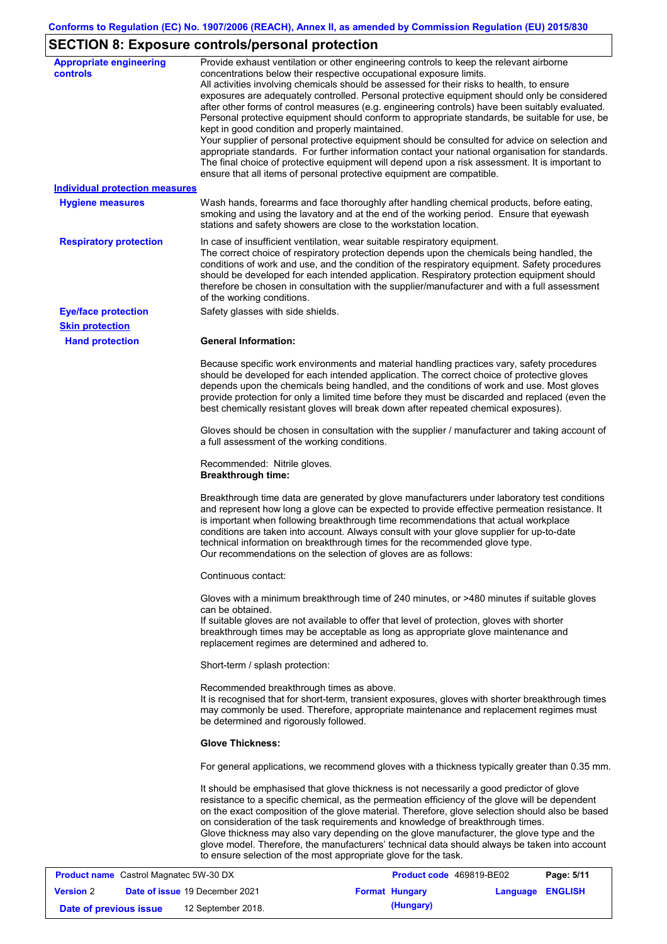# **SECTION 8: Exposure controls/personal protection**

| <b>Appropriate engineering</b><br><b>controls</b> | Provide exhaust ventilation or other engineering controls to keep the relevant airborne<br>concentrations below their respective occupational exposure limits.<br>All activities involving chemicals should be assessed for their risks to health, to ensure<br>exposures are adequately controlled. Personal protective equipment should only be considered<br>after other forms of control measures (e.g. engineering controls) have been suitably evaluated.<br>Personal protective equipment should conform to appropriate standards, be suitable for use, be<br>kept in good condition and properly maintained.<br>Your supplier of personal protective equipment should be consulted for advice on selection and<br>appropriate standards. For further information contact your national organisation for standards.<br>The final choice of protective equipment will depend upon a risk assessment. It is important to<br>ensure that all items of personal protective equipment are compatible. |
|---------------------------------------------------|---------------------------------------------------------------------------------------------------------------------------------------------------------------------------------------------------------------------------------------------------------------------------------------------------------------------------------------------------------------------------------------------------------------------------------------------------------------------------------------------------------------------------------------------------------------------------------------------------------------------------------------------------------------------------------------------------------------------------------------------------------------------------------------------------------------------------------------------------------------------------------------------------------------------------------------------------------------------------------------------------------|
| <b>Individual protection measures</b>             |                                                                                                                                                                                                                                                                                                                                                                                                                                                                                                                                                                                                                                                                                                                                                                                                                                                                                                                                                                                                         |
| <b>Hygiene measures</b>                           | Wash hands, forearms and face thoroughly after handling chemical products, before eating,<br>smoking and using the lavatory and at the end of the working period. Ensure that eyewash<br>stations and safety showers are close to the workstation location.                                                                                                                                                                                                                                                                                                                                                                                                                                                                                                                                                                                                                                                                                                                                             |
| <b>Respiratory protection</b>                     | In case of insufficient ventilation, wear suitable respiratory equipment.<br>The correct choice of respiratory protection depends upon the chemicals being handled, the<br>conditions of work and use, and the condition of the respiratory equipment. Safety procedures<br>should be developed for each intended application. Respiratory protection equipment should<br>therefore be chosen in consultation with the supplier/manufacturer and with a full assessment<br>of the working conditions.                                                                                                                                                                                                                                                                                                                                                                                                                                                                                                   |
| <b>Eye/face protection</b>                        | Safety glasses with side shields.                                                                                                                                                                                                                                                                                                                                                                                                                                                                                                                                                                                                                                                                                                                                                                                                                                                                                                                                                                       |
| <b>Skin protection</b>                            |                                                                                                                                                                                                                                                                                                                                                                                                                                                                                                                                                                                                                                                                                                                                                                                                                                                                                                                                                                                                         |
| <b>Hand protection</b>                            | <b>General Information:</b>                                                                                                                                                                                                                                                                                                                                                                                                                                                                                                                                                                                                                                                                                                                                                                                                                                                                                                                                                                             |
|                                                   | Because specific work environments and material handling practices vary, safety procedures<br>should be developed for each intended application. The correct choice of protective gloves<br>depends upon the chemicals being handled, and the conditions of work and use. Most gloves<br>provide protection for only a limited time before they must be discarded and replaced (even the<br>best chemically resistant gloves will break down after repeated chemical exposures).                                                                                                                                                                                                                                                                                                                                                                                                                                                                                                                        |
|                                                   | Gloves should be chosen in consultation with the supplier / manufacturer and taking account of<br>a full assessment of the working conditions.                                                                                                                                                                                                                                                                                                                                                                                                                                                                                                                                                                                                                                                                                                                                                                                                                                                          |
|                                                   | Recommended: Nitrile gloves.<br><b>Breakthrough time:</b>                                                                                                                                                                                                                                                                                                                                                                                                                                                                                                                                                                                                                                                                                                                                                                                                                                                                                                                                               |
|                                                   | Breakthrough time data are generated by glove manufacturers under laboratory test conditions<br>and represent how long a glove can be expected to provide effective permeation resistance. It<br>is important when following breakthrough time recommendations that actual workplace<br>conditions are taken into account. Always consult with your glove supplier for up-to-date<br>technical information on breakthrough times for the recommended glove type.<br>Our recommendations on the selection of gloves are as follows:                                                                                                                                                                                                                                                                                                                                                                                                                                                                      |
|                                                   | Continuous contact:                                                                                                                                                                                                                                                                                                                                                                                                                                                                                                                                                                                                                                                                                                                                                                                                                                                                                                                                                                                     |
|                                                   | Gloves with a minimum breakthrough time of 240 minutes, or >480 minutes if suitable gloves<br>can be obtained.<br>If suitable gloves are not available to offer that level of protection, gloves with shorter<br>breakthrough times may be acceptable as long as appropriate glove maintenance and<br>replacement regimes are determined and adhered to.                                                                                                                                                                                                                                                                                                                                                                                                                                                                                                                                                                                                                                                |
|                                                   | Short-term / splash protection:                                                                                                                                                                                                                                                                                                                                                                                                                                                                                                                                                                                                                                                                                                                                                                                                                                                                                                                                                                         |
|                                                   | Recommended breakthrough times as above.<br>It is recognised that for short-term, transient exposures, gloves with shorter breakthrough times<br>may commonly be used. Therefore, appropriate maintenance and replacement regimes must<br>be determined and rigorously followed.                                                                                                                                                                                                                                                                                                                                                                                                                                                                                                                                                                                                                                                                                                                        |
|                                                   | <b>Glove Thickness:</b>                                                                                                                                                                                                                                                                                                                                                                                                                                                                                                                                                                                                                                                                                                                                                                                                                                                                                                                                                                                 |
|                                                   | For general applications, we recommend gloves with a thickness typically greater than 0.35 mm.                                                                                                                                                                                                                                                                                                                                                                                                                                                                                                                                                                                                                                                                                                                                                                                                                                                                                                          |
|                                                   | It should be emphasised that glove thickness is not necessarily a good predictor of glove<br>resistance to a specific chemical, as the permeation efficiency of the glove will be dependent<br>on the exact composition of the glove material. Therefore, glove selection should also be based<br>on consideration of the task requirements and knowledge of breakthrough times.<br>Glove thickness may also vary depending on the glove manufacturer, the glove type and the<br>glove model. Therefore, the manufacturers' technical data should always be taken into account<br>to ensure selection of the most appropriate glove for the task.                                                                                                                                                                                                                                                                                                                                                       |
| <b>Broduct name, Castrol Magnatos 5W 30 DY</b>    | <b>Draduct code, 160810 RE02</b><br>Dao: E/44                                                                                                                                                                                                                                                                                                                                                                                                                                                                                                                                                                                                                                                                                                                                                                                                                                                                                                                                                           |

| <b>Product name</b> Castrol Magnatec 5W-30 DX |  |                                       | <b>Product code</b> 469819-BE02 | Page: 5/11            |                  |  |
|-----------------------------------------------|--|---------------------------------------|---------------------------------|-----------------------|------------------|--|
| <b>Version 2</b>                              |  | <b>Date of issue 19 December 2021</b> |                                 | <b>Format Hungary</b> | Language ENGLISH |  |
| Date of previous issue                        |  | 12 September 2018.                    |                                 | (Hungary)             |                  |  |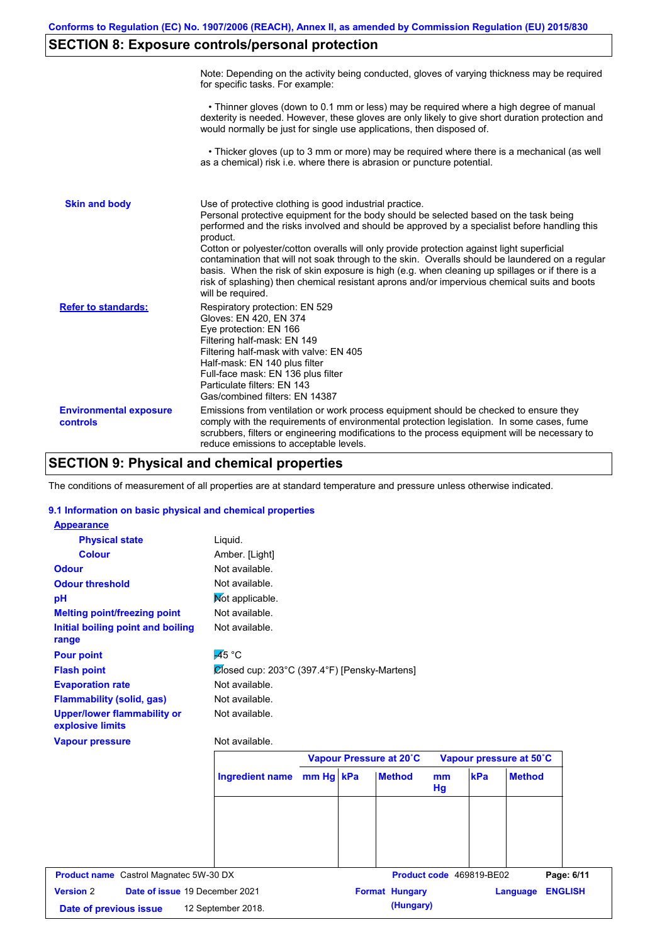# **SECTION 8: Exposure controls/personal protection**

|                                           | Note: Depending on the activity being conducted, gloves of varying thickness may be required<br>for specific tasks. For example:                                                                                                                                                                                                                                                                                                                                                                                                                                                                                                                                                      |
|-------------------------------------------|---------------------------------------------------------------------------------------------------------------------------------------------------------------------------------------------------------------------------------------------------------------------------------------------------------------------------------------------------------------------------------------------------------------------------------------------------------------------------------------------------------------------------------------------------------------------------------------------------------------------------------------------------------------------------------------|
|                                           | • Thinner gloves (down to 0.1 mm or less) may be required where a high degree of manual<br>dexterity is needed. However, these gloves are only likely to give short duration protection and<br>would normally be just for single use applications, then disposed of.                                                                                                                                                                                                                                                                                                                                                                                                                  |
|                                           | • Thicker gloves (up to 3 mm or more) may be required where there is a mechanical (as well<br>as a chemical) risk i.e. where there is abrasion or puncture potential.                                                                                                                                                                                                                                                                                                                                                                                                                                                                                                                 |
| <b>Skin and body</b>                      | Use of protective clothing is good industrial practice.<br>Personal protective equipment for the body should be selected based on the task being<br>performed and the risks involved and should be approved by a specialist before handling this<br>product.<br>Cotton or polyester/cotton overalls will only provide protection against light superficial<br>contamination that will not soak through to the skin. Overalls should be laundered on a regular<br>basis. When the risk of skin exposure is high (e.g. when cleaning up spillages or if there is a<br>risk of splashing) then chemical resistant aprons and/or impervious chemical suits and boots<br>will be required. |
| <b>Refer to standards:</b>                | Respiratory protection: EN 529<br>Gloves: EN 420, EN 374<br>Eye protection: EN 166<br>Filtering half-mask: EN 149<br>Filtering half-mask with valve: EN 405<br>Half-mask: EN 140 plus filter<br>Full-face mask: EN 136 plus filter<br>Particulate filters: EN 143<br>Gas/combined filters: EN 14387                                                                                                                                                                                                                                                                                                                                                                                   |
| <b>Environmental exposure</b><br>controls | Emissions from ventilation or work process equipment should be checked to ensure they<br>comply with the requirements of environmental protection legislation. In some cases, fume<br>scrubbers, filters or engineering modifications to the process equipment will be necessary to<br>reduce emissions to acceptable levels.                                                                                                                                                                                                                                                                                                                                                         |

## **SECTION 9: Physical and chemical properties**

The conditions of measurement of all properties are at standard temperature and pressure unless otherwise indicated.

### **9.1 Information on basic physical and chemical properties**

| <b>Physical state</b>                              | Liquid.                                                   |           |                         |                      |                          |                            |
|----------------------------------------------------|-----------------------------------------------------------|-----------|-------------------------|----------------------|--------------------------|----------------------------|
| <b>Colour</b>                                      | Amber. [Light]                                            |           |                         |                      |                          |                            |
| <b>Odour</b>                                       | Not available.                                            |           |                         |                      |                          |                            |
| <b>Odour threshold</b>                             | Not available.                                            |           |                         |                      |                          |                            |
| pH                                                 | Not applicable.                                           |           |                         |                      |                          |                            |
| <b>Melting point/freezing point</b>                | Not available.                                            |           |                         |                      |                          |                            |
| Initial boiling point and boiling<br>range         | Not available.                                            |           |                         |                      |                          |                            |
| <b>Pour point</b>                                  | $\overline{45}$ °C                                        |           |                         |                      |                          |                            |
| <b>Flash point</b>                                 | $\mathcal{Q}$ losed cup: 203°C (397.4°F) [Pensky-Martens] |           |                         |                      |                          |                            |
| <b>Evaporation rate</b>                            | Not available.                                            |           |                         |                      |                          |                            |
| <b>Flammability (solid, gas)</b>                   | Not available.                                            |           |                         |                      |                          |                            |
| <b>Upper/lower flammability or</b>                 | Not available.                                            |           |                         |                      |                          |                            |
| explosive limits                                   |                                                           |           |                         |                      |                          |                            |
| <b>Vapour pressure</b>                             | Not available.                                            |           |                         |                      |                          |                            |
|                                                    |                                                           |           | Vapour Pressure at 20°C |                      |                          | Vapour pressure at 50°C    |
|                                                    | <b>Ingredient name</b>                                    | mm Hg kPa | <b>Method</b>           | m <sub>m</sub><br>Hg | kPa                      | <b>Method</b>              |
|                                                    |                                                           |           |                         |                      |                          |                            |
|                                                    |                                                           |           |                         |                      |                          |                            |
|                                                    |                                                           |           |                         |                      |                          |                            |
|                                                    |                                                           |           |                         |                      |                          |                            |
| <b>Product name</b> Castrol Magnatec 5W-30 DX      |                                                           |           |                         |                      | Product code 469819-BE02 | Page: 6/11                 |
| <b>Version 2</b><br>Date of issue 19 December 2021 |                                                           |           | <b>Format Hungary</b>   |                      |                          | <b>ENGLISH</b><br>Language |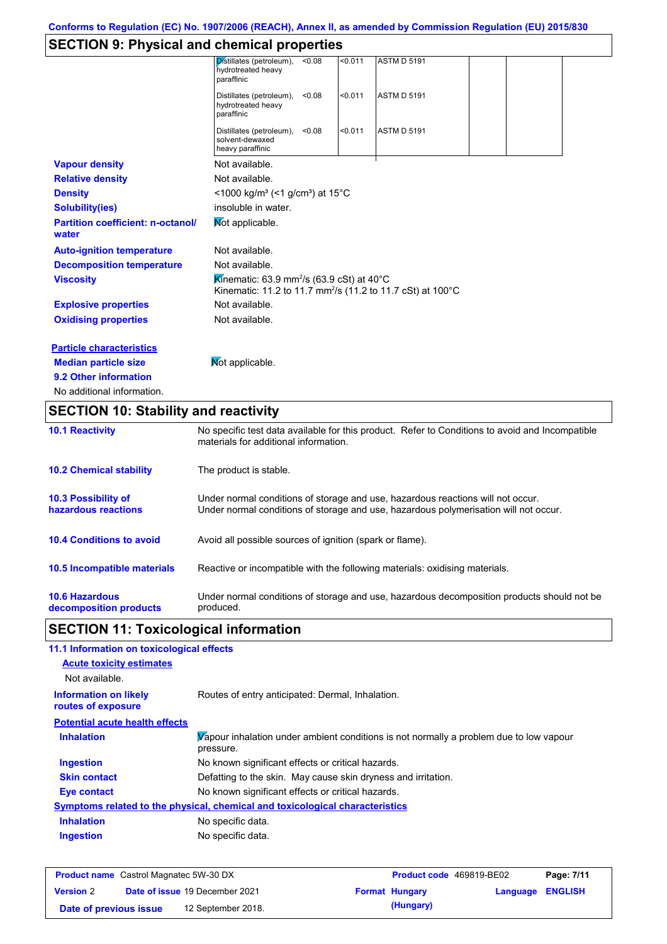# **SECTION 9: Physical and chemical properties**

| No additional information.                        |                                                                         |        |         |                                                                        |  |  |
|---------------------------------------------------|-------------------------------------------------------------------------|--------|---------|------------------------------------------------------------------------|--|--|
| 9.2 Other information                             |                                                                         |        |         |                                                                        |  |  |
| <b>Median particle size</b>                       | Mot applicable.                                                         |        |         |                                                                        |  |  |
| <b>Particle characteristics</b>                   |                                                                         |        |         |                                                                        |  |  |
| <b>Oxidising properties</b>                       | Not available.                                                          |        |         |                                                                        |  |  |
| <b>Explosive properties</b>                       | Not available.                                                          |        |         |                                                                        |  |  |
| <b>Viscosity</b>                                  | Kinematic: 63.9 mm <sup>2</sup> /s (63.9 cSt) at 40 $^{\circ}$ C        |        |         | Kinematic: 11.2 to 11.7 mm <sup>2</sup> /s (11.2 to 11.7 cSt) at 100°C |  |  |
| <b>Decomposition temperature</b>                  | Not available.                                                          |        |         |                                                                        |  |  |
| <b>Auto-ignition temperature</b>                  | Not available.                                                          |        |         |                                                                        |  |  |
| <b>Partition coefficient: n-octanol/</b><br>water | Not applicable.                                                         |        |         |                                                                        |  |  |
| <b>Solubility(ies)</b>                            | insoluble in water.                                                     |        |         |                                                                        |  |  |
| <b>Density</b>                                    | $<$ 1000 kg/m <sup>3</sup> (<1 g/cm <sup>3</sup> ) at 15 <sup>°</sup> C |        |         |                                                                        |  |  |
| <b>Relative density</b>                           | Not available.                                                          |        |         |                                                                        |  |  |
| <b>Vapour density</b>                             | Not available.                                                          |        |         |                                                                        |  |  |
|                                                   | Distillates (petroleum),<br>solvent-dewaxed<br>heavy paraffinic         | < 0.08 | < 0.011 | <b>ASTM D 5191</b>                                                     |  |  |
|                                                   | Distillates (petroleum),<br>hydrotreated heavy<br>paraffinic            | < 0.08 | < 0.011 | <b>ASTM D 5191</b>                                                     |  |  |
|                                                   | Distillates (petroleum),<br>hydrotreated heavy<br>paraffinic            | < 0.08 | < 0.011 | <b>ASTM D 5191</b>                                                     |  |  |
|                                                   |                                                                         |        |         |                                                                        |  |  |

# **SECTION 10: Stability and reactivity**

| <b>10.1 Reactivity</b>                            | No specific test data available for this product. Refer to Conditions to avoid and Incompatible<br>materials for additional information.                                |
|---------------------------------------------------|-------------------------------------------------------------------------------------------------------------------------------------------------------------------------|
| <b>10.2 Chemical stability</b>                    | The product is stable.                                                                                                                                                  |
| <b>10.3 Possibility of</b><br>hazardous reactions | Under normal conditions of storage and use, hazardous reactions will not occur.<br>Under normal conditions of storage and use, hazardous polymerisation will not occur. |
| <b>10.4 Conditions to avoid</b>                   | Avoid all possible sources of ignition (spark or flame).                                                                                                                |
| <b>10.5 Incompatible materials</b>                | Reactive or incompatible with the following materials: oxidising materials.                                                                                             |
| <b>10.6 Hazardous</b><br>decomposition products   | Under normal conditions of storage and use, hazardous decomposition products should not be<br>produced.                                                                 |

# **SECTION 11: Toxicological information**

| 11.1 Information on toxicological effects          |                                                                                                     |
|----------------------------------------------------|-----------------------------------------------------------------------------------------------------|
| <b>Acute toxicity estimates</b>                    |                                                                                                     |
| Not available.                                     |                                                                                                     |
| <b>Information on likely</b><br>routes of exposure | Routes of entry anticipated: Dermal, Inhalation.                                                    |
| <b>Potential acute health effects</b>              |                                                                                                     |
| <b>Inhalation</b>                                  | Vapour inhalation under ambient conditions is not normally a problem due to low vapour<br>pressure. |
| <b>Ingestion</b>                                   | No known significant effects or critical hazards.                                                   |
| <b>Skin contact</b>                                | Defatting to the skin. May cause skin dryness and irritation.                                       |
| Eye contact                                        | No known significant effects or critical hazards.                                                   |
|                                                    | <u>Symptoms related to the physical, chemical and toxicological characteristics</u>                 |
| <b>Inhalation</b>                                  | No specific data.                                                                                   |
| <b>Ingestion</b>                                   | No specific data.                                                                                   |

| <b>Product name</b> Castrol Magnatec 5W-30 DX |  |                                       | <b>Product code</b> 469819-BE02 |                       | Page: 7/11              |  |
|-----------------------------------------------|--|---------------------------------------|---------------------------------|-----------------------|-------------------------|--|
| <b>Version 2</b>                              |  | <b>Date of issue 19 December 2021</b> |                                 | <b>Format Hungary</b> | <b>Language ENGLISH</b> |  |
| Date of previous issue                        |  | 12 September 2018.                    |                                 | (Hungary)             |                         |  |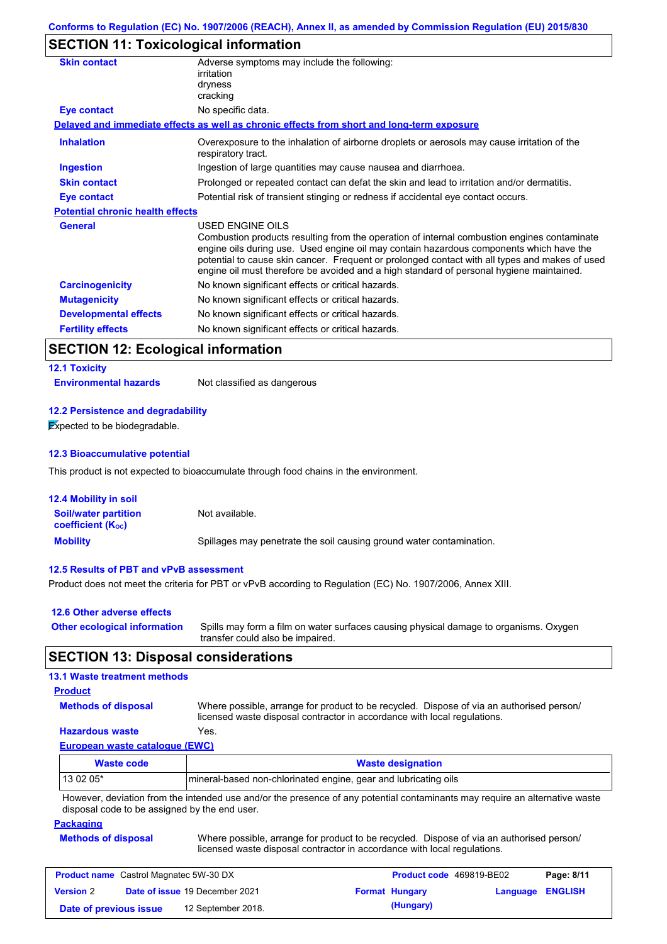# **SECTION 11: Toxicological information**

| <b>Skin contact</b>                     | Adverse symptoms may include the following:<br>irritation<br>dryness<br>cracking                                                                                                                                                                                                                                                                                                                         |
|-----------------------------------------|----------------------------------------------------------------------------------------------------------------------------------------------------------------------------------------------------------------------------------------------------------------------------------------------------------------------------------------------------------------------------------------------------------|
| <b>Eye contact</b>                      | No specific data.                                                                                                                                                                                                                                                                                                                                                                                        |
|                                         | Delayed and immediate effects as well as chronic effects from short and long-term exposure                                                                                                                                                                                                                                                                                                               |
| <b>Inhalation</b>                       | Overexposure to the inhalation of airborne droplets or aerosols may cause irritation of the<br>respiratory tract.                                                                                                                                                                                                                                                                                        |
| <b>Ingestion</b>                        | Ingestion of large quantities may cause nausea and diarrhoea.                                                                                                                                                                                                                                                                                                                                            |
| <b>Skin contact</b>                     | Prolonged or repeated contact can defat the skin and lead to irritation and/or dermatitis.                                                                                                                                                                                                                                                                                                               |
| Eye contact                             | Potential risk of transient stinging or redness if accidental eye contact occurs.                                                                                                                                                                                                                                                                                                                        |
| <b>Potential chronic health effects</b> |                                                                                                                                                                                                                                                                                                                                                                                                          |
| <b>General</b>                          | USED ENGINE OILS<br>Combustion products resulting from the operation of internal combustion engines contaminate<br>engine oils during use. Used engine oil may contain hazardous components which have the<br>potential to cause skin cancer. Frequent or prolonged contact with all types and makes of used<br>engine oil must therefore be avoided and a high standard of personal hygiene maintained. |
| <b>Carcinogenicity</b>                  | No known significant effects or critical hazards.                                                                                                                                                                                                                                                                                                                                                        |
| <b>Mutagenicity</b>                     | No known significant effects or critical hazards.                                                                                                                                                                                                                                                                                                                                                        |
| <b>Developmental effects</b>            | No known significant effects or critical hazards.                                                                                                                                                                                                                                                                                                                                                        |
| <b>Fertility effects</b>                | No known significant effects or critical hazards.                                                                                                                                                                                                                                                                                                                                                        |

# **SECTION 12: Ecological information**

### **12.1 Toxicity**

**Environmental hazards** Not classified as dangerous

### **12.2 Persistence and degradability**

**Expected to be biodegradable.** 

### **12.3 Bioaccumulative potential**

This product is not expected to bioaccumulate through food chains in the environment.

| <b>12.4 Mobility in soil</b>                            |                                                                      |
|---------------------------------------------------------|----------------------------------------------------------------------|
| <b>Soil/water partition</b><br><b>coefficient (Koc)</b> | Not available.                                                       |
| <b>Mobility</b>                                         | Spillages may penetrate the soil causing ground water contamination. |

### **12.5 Results of PBT and vPvB assessment**

Product does not meet the criteria for PBT or vPvB according to Regulation (EC) No. 1907/2006, Annex XIII.

| 12.6 Other adverse effects          |                                                                                                                           |
|-------------------------------------|---------------------------------------------------------------------------------------------------------------------------|
| <b>Other ecological information</b> | Spills may form a film on water surfaces causing physical damage to organisms. Oxygen<br>transfer could also be impaired. |

## **SECTION 13: Disposal considerations**

### **13.1 Waste treatment methods**

### **Product**

**Methods of disposal**

Where possible, arrange for product to be recycled. Dispose of via an authorised person/ licensed waste disposal contractor in accordance with local regulations.

### **Hazardous waste** Yes.

**European waste catalogue (EWC)**

| Waste code | <b>Waste designation</b>                                                                                                    |
|------------|-----------------------------------------------------------------------------------------------------------------------------|
| $130205*$  | Imineral-based non-chlorinated engine, gear and lubricating oils                                                            |
|            | However, deviation from the intended use and/or the presence of any potential contaminants may require an alternative waste |

However, deviation from the intended use and/or the presence of any potential contaminants may require an alternative waste disposal code to be assigned by the end user.

#### **Packaging**

**Methods of disposal** Where possible, arrange for product to be recycled. Dispose of via an authorised person/

licensed waste disposal contractor in accordance with local regulations.

| <b>Product name</b> Castrol Magnatec 5W-30 DX |  |                                       | <b>Product code</b> 469819-BE02 |                       | Page: 8/11              |  |
|-----------------------------------------------|--|---------------------------------------|---------------------------------|-----------------------|-------------------------|--|
| <b>Version 2</b>                              |  | <b>Date of issue 19 December 2021</b> |                                 | <b>Format Hungary</b> | <b>Language ENGLISH</b> |  |
| Date of previous issue                        |  | 12 September 2018.                    |                                 | (Hungary)             |                         |  |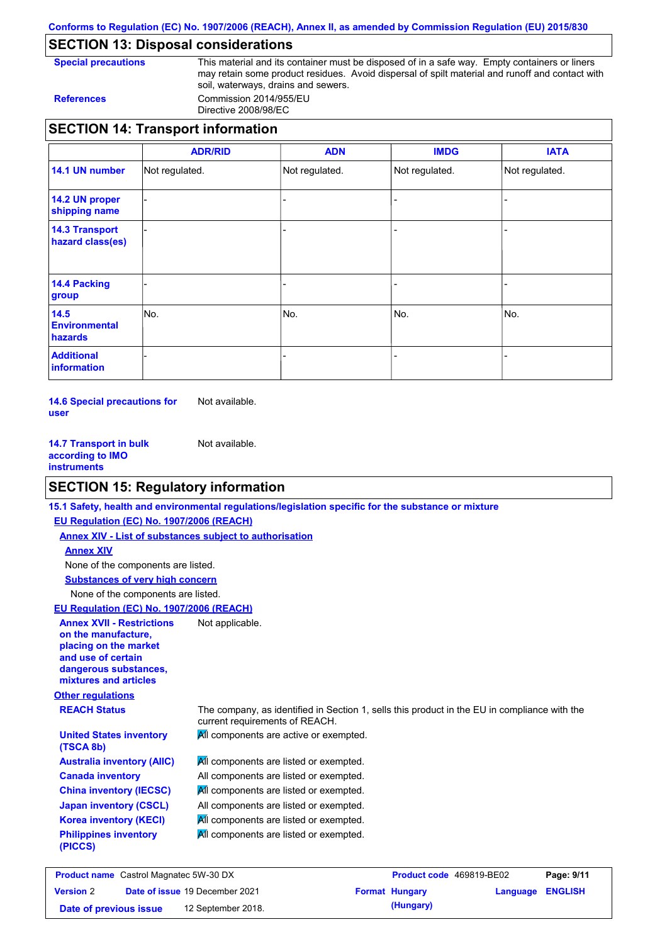**Conforms to Regulation (EC) No. 1907/2006 (REACH), Annex II, as amended by Commission Regulation (EU) 2015/830**

### **SECTION 13: Disposal considerations**

**Special precautions** This material and its container must be disposed of in a safe way. Empty containers or liners may retain some product residues. Avoid dispersal of spilt material and runoff and contact with soil, waterways, drains and sewers. **References** Commission 2014/955/EU

Directive 2008/98/EC

|                                           | <b>ADR/RID</b> | <b>ADN</b>     | <b>IMDG</b>    | <b>IATA</b>    |
|-------------------------------------------|----------------|----------------|----------------|----------------|
| 14.1 UN number                            | Not regulated. | Not regulated. | Not regulated. | Not regulated. |
| 14.2 UN proper<br>shipping name           |                |                |                |                |
| <b>14.3 Transport</b><br>hazard class(es) |                |                |                |                |
| 14.4 Packing<br>group                     |                |                |                |                |
| 14.5<br><b>Environmental</b><br>hazards   | INo.           | No.            | No.            | No.            |
| <b>Additional</b><br>information          |                |                |                |                |

**14.6 Special precautions for user** Not available.

**14.7 Transport in bulk according to IMO instruments** Not available.

### **SECTION 15: Regulatory information**

**Other regulations REACH Status** The company, as identified in Section 1, sells this product in the EU in compliance with the current requirements of REACH. **15.1 Safety, health and environmental regulations/legislation specific for the substance or mixture EU Regulation (EC) No. 1907/2006 (REACH) Annex XIV - List of substances subject to authorisation Substances of very high concern** None of the components are listed. **All components are listed or exempted.** All components are listed or exempted. **All components are listed or exempted.** All components are listed or exempted. **All components are active or exempted. All components are listed or exempted.** All components are listed or exempted. **United States inventory (TSCA 8b) Australia inventory (AIIC) Canada inventory China inventory (IECSC) Japan inventory (CSCL) Korea inventory (KECI) Philippines inventory (PICCS)** None of the components are listed. **Annex XIV EU Regulation (EC) No. 1907/2006 (REACH) Annex XVII - Restrictions on the manufacture, placing on the market and use of certain dangerous substances, mixtures and articles** Not applicable.

| <b>Product name</b> Castrol Magnatec 5W-30 DX |  |                                       | <b>Product code</b> 469819-BE02 |                       | Page: 9/11       |  |
|-----------------------------------------------|--|---------------------------------------|---------------------------------|-----------------------|------------------|--|
| <b>Version 2</b>                              |  | <b>Date of issue 19 December 2021</b> |                                 | <b>Format Hungary</b> | Language ENGLISH |  |
| Date of previous issue                        |  | 12 September 2018.                    |                                 | (Hungary)             |                  |  |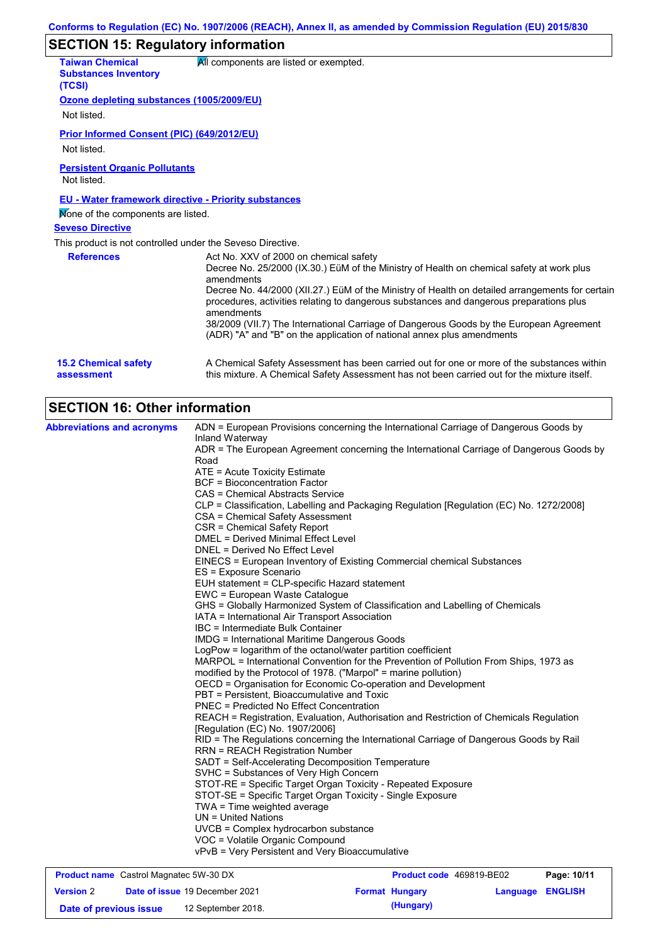# **SECTION 15: Regulatory information**

| <b>Taiwan Chemical</b><br><b>Substances Inventory</b>       | All components are listed or exempted.                                                                                                                                                     |
|-------------------------------------------------------------|--------------------------------------------------------------------------------------------------------------------------------------------------------------------------------------------|
| (TCSI)                                                      |                                                                                                                                                                                            |
| Ozone depleting substances (1005/2009/EU)                   |                                                                                                                                                                                            |
| Not listed.                                                 |                                                                                                                                                                                            |
| <b>Prior Informed Consent (PIC) (649/2012/EU)</b>           |                                                                                                                                                                                            |
| Not listed.                                                 |                                                                                                                                                                                            |
| <b>Persistent Organic Pollutants</b><br>Not listed.         |                                                                                                                                                                                            |
| <b>EU - Water framework directive - Priority substances</b> |                                                                                                                                                                                            |
| Mone of the components are listed.                          |                                                                                                                                                                                            |
| <b>Seveso Directive</b>                                     |                                                                                                                                                                                            |
| This product is not controlled under the Seveso Directive.  |                                                                                                                                                                                            |
| <b>References</b>                                           | Act No. XXV of 2000 on chemical safety<br>Decree No. 25/2000 (IX.30.) EüM of the Ministry of Health on chemical safety at work plus<br>amendments                                          |
|                                                             | Decree No. 44/2000 (XII.27.) EüM of the Ministry of Health on detailed arrangements for certain<br>procedures, activities relating to dangerous substances and dangerous preparations plus |
|                                                             | amendments<br>38/2009 (VII.7) The International Carriage of Dangerous Goods by the European Agreement<br>(ADR) "A" and "B" on the application of national annex plus amendments            |
| <b>15.2 Chemical safety</b><br>assessment                   | A Chemical Safety Assessment has been carried out for one or more of the substances within<br>this mixture. A Chemical Safety Assessment has not been carried out for the mixture itself.  |

# **SECTION 16: Other information**

| <b>Abbreviations and acronyms</b>             | ADN = European Provisions concerning the International Carriage of Dangerous Goods by                                      |                                 |               |
|-----------------------------------------------|----------------------------------------------------------------------------------------------------------------------------|---------------------------------|---------------|
|                                               | Inland Waterway                                                                                                            |                                 |               |
|                                               | ADR = The European Agreement concerning the International Carriage of Dangerous Goods by                                   |                                 |               |
|                                               | Road                                                                                                                       |                                 |               |
|                                               | ATE = Acute Toxicity Estimate                                                                                              |                                 |               |
|                                               | <b>BCF</b> = Bioconcentration Factor                                                                                       |                                 |               |
|                                               | CAS = Chemical Abstracts Service                                                                                           |                                 |               |
|                                               | CLP = Classification, Labelling and Packaging Regulation [Regulation (EC) No. 1272/2008]                                   |                                 |               |
|                                               | CSA = Chemical Safety Assessment                                                                                           |                                 |               |
|                                               | CSR = Chemical Safety Report                                                                                               |                                 |               |
|                                               | DMEL = Derived Minimal Effect Level                                                                                        |                                 |               |
|                                               | DNEL = Derived No Effect Level                                                                                             |                                 |               |
|                                               | EINECS = European Inventory of Existing Commercial chemical Substances                                                     |                                 |               |
|                                               | ES = Exposure Scenario                                                                                                     |                                 |               |
|                                               | EUH statement = CLP-specific Hazard statement                                                                              |                                 |               |
|                                               | EWC = European Waste Catalogue                                                                                             |                                 |               |
|                                               | GHS = Globally Harmonized System of Classification and Labelling of Chemicals                                              |                                 |               |
|                                               | IATA = International Air Transport Association                                                                             |                                 |               |
|                                               | IBC = Intermediate Bulk Container                                                                                          |                                 |               |
|                                               | <b>IMDG = International Maritime Dangerous Goods</b>                                                                       |                                 |               |
|                                               | LogPow = logarithm of the octanol/water partition coefficient                                                              |                                 |               |
|                                               | MARPOL = International Convention for the Prevention of Pollution From Ships, 1973 as                                      |                                 |               |
|                                               | modified by the Protocol of 1978. ("Marpol" = marine pollution)                                                            |                                 |               |
|                                               | OECD = Organisation for Economic Co-operation and Development                                                              |                                 |               |
|                                               | PBT = Persistent, Bioaccumulative and Toxic                                                                                |                                 |               |
|                                               | <b>PNEC = Predicted No Effect Concentration</b>                                                                            |                                 |               |
|                                               | REACH = Registration, Evaluation, Authorisation and Restriction of Chemicals Regulation<br>[Regulation (EC) No. 1907/2006] |                                 |               |
|                                               | RID = The Regulations concerning the International Carriage of Dangerous Goods by Rail                                     |                                 |               |
|                                               | <b>RRN = REACH Registration Number</b>                                                                                     |                                 |               |
|                                               | SADT = Self-Accelerating Decomposition Temperature                                                                         |                                 |               |
|                                               | SVHC = Substances of Very High Concern                                                                                     |                                 |               |
|                                               | STOT-RE = Specific Target Organ Toxicity - Repeated Exposure                                                               |                                 |               |
|                                               | STOT-SE = Specific Target Organ Toxicity - Single Exposure                                                                 |                                 |               |
|                                               | $TWA = Time weighted average$                                                                                              |                                 |               |
|                                               | $UN = United Nations$                                                                                                      |                                 |               |
|                                               | UVCB = Complex hydrocarbon substance                                                                                       |                                 |               |
|                                               | VOC = Volatile Organic Compound                                                                                            |                                 |               |
|                                               | vPvB = Very Persistent and Very Bioaccumulative                                                                            |                                 |               |
| <b>Product name</b> Castrol Magnatec 5W-30 DX |                                                                                                                            | <b>Product code</b> 469819-BE02 | Page: $10/11$ |

| <b>Product name</b> Castrol Magnatec 5W-30 DX |  |                                       | <b>Product code</b> 469819-BE02 |                       | Page: 10/11      |  |
|-----------------------------------------------|--|---------------------------------------|---------------------------------|-----------------------|------------------|--|
| <b>Version 2</b>                              |  | <b>Date of issue 19 December 2021</b> |                                 | <b>Format Hungary</b> | Language ENGLISH |  |
| Date of previous issue                        |  | 12 September 2018.                    |                                 | (Hungary)             |                  |  |